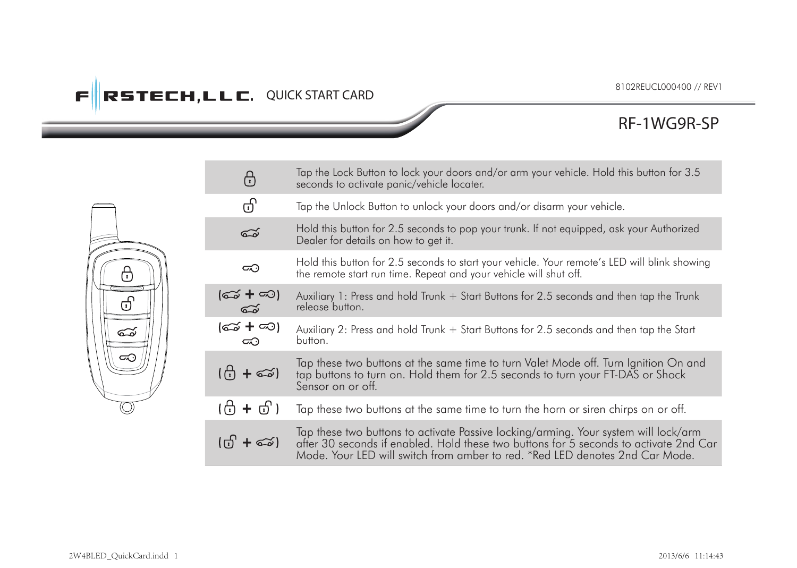# **FIRSTECH, LLC. QUICK START CARD**

## **RF-1WG9R-SP**

|  | ⊕                                   | Tap the Lock Button to lock your doors and/or arm your vehicle. Hold this button for 3.5<br>seconds to activate panic/vehicle locater.                                                                                                                       |
|--|-------------------------------------|--------------------------------------------------------------------------------------------------------------------------------------------------------------------------------------------------------------------------------------------------------------|
|  | ගි                                  | Tap the Unlock Button to unlock your doors and/or disarm your vehicle.                                                                                                                                                                                       |
|  | డ                                   | Hold this button for 2.5 seconds to pop your trunk. If not equipped, ask your Authorized<br>Dealer for details on how to get it.                                                                                                                             |
|  | ⊂⊙                                  | Hold this button for 2.5 seconds to start your vehicle. Your remote's LED will blink showing<br>the remote start run time. Repeat and your vehicle will shut off.                                                                                            |
|  | (ඤ + ∞ි)<br>ಮ್                      | Auxiliary 1: Press and hold Trunk + Start Buttons for 2.5 seconds and then tap the Trunk<br>release button.                                                                                                                                                  |
|  | (ದು + ದು)<br>ದಾ                     | Auxiliary 2: Press and hold Trunk + Start Buttons for 2.5 seconds and then tap the Start<br>button.                                                                                                                                                          |
|  | (ලි + ඐු)                           | Tap these two buttons at the same time to turn Valet Mode off. Turn Ignition On and<br>tap buttons to turn on. Hold them for 2.5 seconds to turn your FT-DAS or Shock<br>Sensor on or off.                                                                   |
|  | (f) + ਰੀ )                          | Tap these two buttons at the same time to turn the horn or siren chirps on or off.                                                                                                                                                                           |
|  | $(G + \epsilon \widetilde{\omega})$ | Tap these two buttons to activate Passive locking/arming. Your system will lock/arm<br>after 30 seconds if enabled. Hold these two buttons for 5 seconds to activate 2nd Car<br>Mode. Your LED will switch from amber to red. *Red LED denotes 2nd Car Mode. |

ஈ 巾 - 2